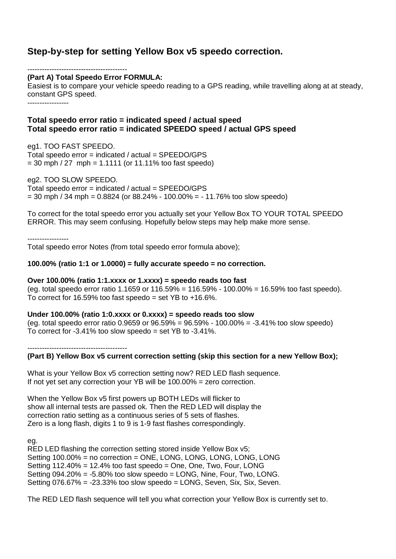# **Step-by-step for setting Yellow Box v5 speedo correction.**

----------------------------------------- **(Part A) Total Speedo Error FORMULA:**

Easiest is to compare your vehicle speedo reading to a GPS reading, while travelling along at at steady, constant GPS speed.

-----------------

## **Total speedo error ratio = indicated speed / actual speed Total speedo error ratio = indicated SPEEDO speed / actual GPS speed**

eg1. TOO FAST SPEEDO.

Total speedo error = indicated / actual = SPEEDO/GPS  $= 30$  mph  $/27$  mph  $= 1.1111$  (or 11.11% too fast speedo)

eg2. TOO SLOW SPEEDO.

Total speedo error = indicated / actual = SPEEDO/GPS  $= 30$  mph / 34 mph  $= 0.8824$  (or 88.24% - 100.00% = - 11.76% too slow speedo)

To correct for the total speedo error you actually set your Yellow Box TO YOUR TOTAL SPEEDO ERROR. This may seem confusing. Hopefully below steps may help make more sense.

-----------------

Total speedo error Notes (from total speedo error formula above);

## **100.00% (ratio 1:1 or 1.0000) = fully accurate speedo = no correction.**

**Over 100.00% (ratio 1:1.xxxx or 1.xxxx) = speedo reads too fast** (eg. total speedo error ratio 1.1659 or 116.59% = 116.59% - 100.00% = 16.59% too fast speedo). To correct for 16.59% too fast speedo = set YB to  $+16.6\%$ .

**Under 100.00% (ratio 1:0.xxxx or 0.xxxx) = speedo reads too slow** (eg. total speedo error ratio 0.9659 or  $96.59\% = 96.59\% - 100.00\% = -3.41\%$  too slow speedo) To correct for  $-3.41\%$  too slow speedo = set YB to  $-3.41\%$ .

-----------------------------------------

**(Part B) Yellow Box v5 current correction setting (skip this section for a new Yellow Box);**

What is your Yellow Box v5 correction setting now? RED LED flash sequence. If not yet set any correction your YB will be 100.00% = zero correction.

When the Yellow Box v5 first powers up BOTH LEDs will flicker to show all internal tests are passed ok. Then the RED LED will display the correction ratio setting as a continuous series of 5 sets of flashes. Zero is a long flash, digits 1 to 9 is 1-9 fast flashes correspondingly.

eg.

RED LED flashing the correction setting stored inside Yellow Box v5; Setting 100.00% = no correction = ONE, LONG, LONG, LONG, LONG, LONG Setting 112.40% = 12.4% too fast speedo = One, One, Two, Four, LONG Setting 094.20% = -5.80% too slow speedo = LONG, Nine, Four, Two, LONG. Setting 076.67% = -23.33% too slow speedo = LONG, Seven, Six, Six, Seven.

The RED LED flash sequence will tell you what correction your Yellow Box is currently set to.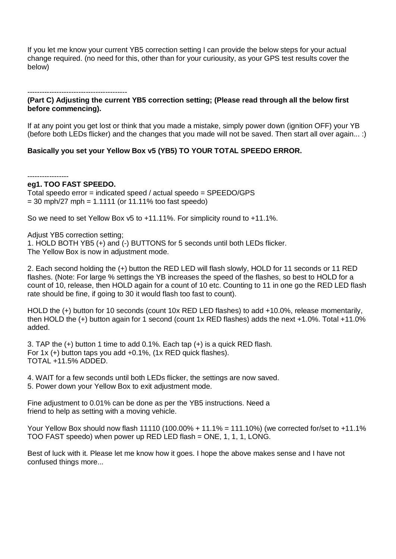If you let me know your current YB5 correction setting I can provide the below steps for your actual change required. (no need for this, other than for your curiousity, as your GPS test results cover the below)

## ----------------------------------------- **(Part C) Adjusting the current YB5 correction setting; (Please read through all the below first before commencing).**

If at any point you get lost or think that you made a mistake, simply power down (ignition OFF) your YB (before both LEDs flicker) and the changes that you made will not be saved. Then start all over again... :)

## **Basically you set your Yellow Box v5 (YB5) TO YOUR TOTAL SPEEDO ERROR.**

#### -----------------

### **eg1. TOO FAST SPEEDO.**

Total speedo error = indicated speed / actual speedo = SPEEDO/GPS  $= 30$  mph/27 mph  $= 1.1111$  (or 11.11% too fast speedo)

So we need to set Yellow Box v5 to +11.11%. For simplicity round to +11.1%.

Adjust YB5 correction setting:

1. HOLD BOTH YB5 (+) and (-) BUTTONS for 5 seconds until both LEDs flicker. The Yellow Box is now in adjustment mode.

2. Each second holding the (+) button the RED LED will flash slowly, HOLD for 11 seconds or 11 RED flashes. (Note: For large % settings the YB increases the speed of the flashes, so best to HOLD for a count of 10, release, then HOLD again for a count of 10 etc. Counting to 11 in one go the RED LED flash rate should be fine, if going to 30 it would flash too fast to count).

HOLD the (+) button for 10 seconds (count 10x RED LED flashes) to add +10.0%, release momentarily, then HOLD the (+) button again for 1 second (count 1x RED flashes) adds the next +1.0%. Total +11.0% added.

3. TAP the (+) button 1 time to add 0.1%. Each tap (+) is a quick RED flash. For 1x (+) button taps you add +0.1%, (1x RED quick flashes). TOTAL +11.5% ADDED.

4. WAIT for a few seconds until both LEDs flicker, the settings are now saved. 5. Power down your Yellow Box to exit adjustment mode.

Fine adjustment to 0.01% can be done as per the YB5 instructions. Need a friend to help as setting with a moving vehicle.

Your Yellow Box should now flash 11110 (100.00% + 11.1% = 111.10%) (we corrected for/set to +11.1% TOO FAST speedo) when power up RED LED flash = ONE, 1, 1, 1, LONG.

Best of luck with it. Please let me know how it goes. I hope the above makes sense and I have not confused things more...